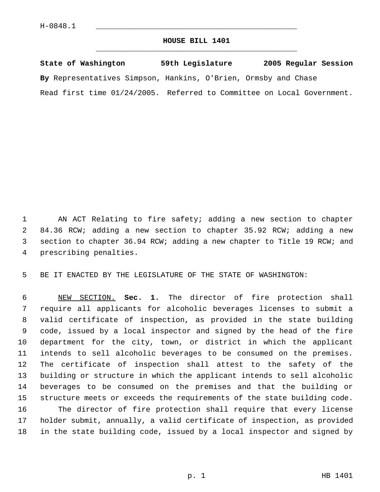## **HOUSE BILL 1401** \_\_\_\_\_\_\_\_\_\_\_\_\_\_\_\_\_\_\_\_\_\_\_\_\_\_\_\_\_\_\_\_\_\_\_\_\_\_\_\_\_\_\_\_\_

|  | State of Washington |  |  |                                                                        | 59th Legislature |  |  | 2005 Regular Session |  |  |  |  |  |  |  |
|--|---------------------|--|--|------------------------------------------------------------------------|------------------|--|--|----------------------|--|--|--|--|--|--|--|
|  |                     |  |  | By Representatives Simpson, Hankins, O'Brien, Ormsby and Chase         |                  |  |  |                      |  |  |  |  |  |  |  |
|  |                     |  |  | Read first time 01/24/2005. Referred to Committee on Local Government. |                  |  |  |                      |  |  |  |  |  |  |  |

 AN ACT Relating to fire safety; adding a new section to chapter 84.36 RCW; adding a new section to chapter 35.92 RCW; adding a new section to chapter 36.94 RCW; adding a new chapter to Title 19 RCW; and prescribing penalties.

BE IT ENACTED BY THE LEGISLATURE OF THE STATE OF WASHINGTON:

 NEW SECTION. **Sec. 1.** The director of fire protection shall require all applicants for alcoholic beverages licenses to submit a valid certificate of inspection, as provided in the state building code, issued by a local inspector and signed by the head of the fire department for the city, town, or district in which the applicant intends to sell alcoholic beverages to be consumed on the premises. The certificate of inspection shall attest to the safety of the building or structure in which the applicant intends to sell alcoholic beverages to be consumed on the premises and that the building or structure meets or exceeds the requirements of the state building code. The director of fire protection shall require that every license holder submit, annually, a valid certificate of inspection, as provided in the state building code, issued by a local inspector and signed by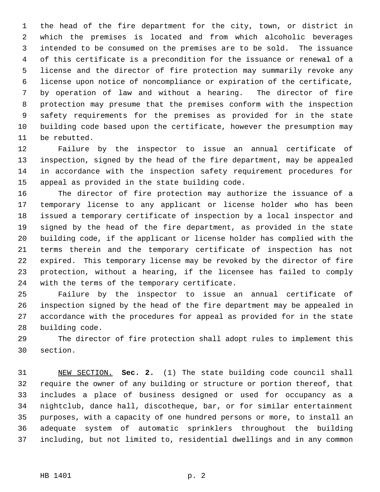the head of the fire department for the city, town, or district in which the premises is located and from which alcoholic beverages intended to be consumed on the premises are to be sold. The issuance of this certificate is a precondition for the issuance or renewal of a license and the director of fire protection may summarily revoke any license upon notice of noncompliance or expiration of the certificate, by operation of law and without a hearing. The director of fire protection may presume that the premises conform with the inspection safety requirements for the premises as provided for in the state building code based upon the certificate, however the presumption may be rebutted.

 Failure by the inspector to issue an annual certificate of inspection, signed by the head of the fire department, may be appealed in accordance with the inspection safety requirement procedures for appeal as provided in the state building code.

 The director of fire protection may authorize the issuance of a temporary license to any applicant or license holder who has been issued a temporary certificate of inspection by a local inspector and signed by the head of the fire department, as provided in the state building code, if the applicant or license holder has complied with the terms therein and the temporary certificate of inspection has not expired. This temporary license may be revoked by the director of fire protection, without a hearing, if the licensee has failed to comply with the terms of the temporary certificate.

 Failure by the inspector to issue an annual certificate of inspection signed by the head of the fire department may be appealed in accordance with the procedures for appeal as provided for in the state building code.

 The director of fire protection shall adopt rules to implement this section.

 NEW SECTION. **Sec. 2.** (1) The state building code council shall require the owner of any building or structure or portion thereof, that includes a place of business designed or used for occupancy as a nightclub, dance hall, discotheque, bar, or for similar entertainment purposes, with a capacity of one hundred persons or more, to install an adequate system of automatic sprinklers throughout the building including, but not limited to, residential dwellings and in any common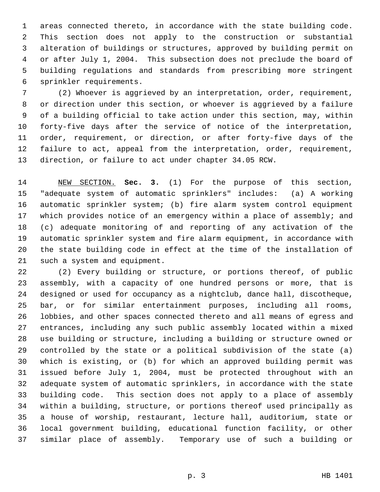areas connected thereto, in accordance with the state building code. This section does not apply to the construction or substantial alteration of buildings or structures, approved by building permit on or after July 1, 2004. This subsection does not preclude the board of building regulations and standards from prescribing more stringent sprinkler requirements.

 (2) Whoever is aggrieved by an interpretation, order, requirement, or direction under this section, or whoever is aggrieved by a failure of a building official to take action under this section, may, within forty-five days after the service of notice of the interpretation, order, requirement, or direction, or after forty-five days of the failure to act, appeal from the interpretation, order, requirement, direction, or failure to act under chapter 34.05 RCW.

 NEW SECTION. **Sec. 3.** (1) For the purpose of this section, "adequate system of automatic sprinklers" includes: (a) A working automatic sprinkler system; (b) fire alarm system control equipment which provides notice of an emergency within a place of assembly; and (c) adequate monitoring of and reporting of any activation of the automatic sprinkler system and fire alarm equipment, in accordance with the state building code in effect at the time of the installation of such a system and equipment.

 (2) Every building or structure, or portions thereof, of public assembly, with a capacity of one hundred persons or more, that is designed or used for occupancy as a nightclub, dance hall, discotheque, bar, or for similar entertainment purposes, including all rooms, lobbies, and other spaces connected thereto and all means of egress and entrances, including any such public assembly located within a mixed use building or structure, including a building or structure owned or controlled by the state or a political subdivision of the state (a) which is existing, or (b) for which an approved building permit was issued before July 1, 2004, must be protected throughout with an adequate system of automatic sprinklers, in accordance with the state building code. This section does not apply to a place of assembly within a building, structure, or portions thereof used principally as a house of worship, restaurant, lecture hall, auditorium, state or local government building, educational function facility, or other similar place of assembly. Temporary use of such a building or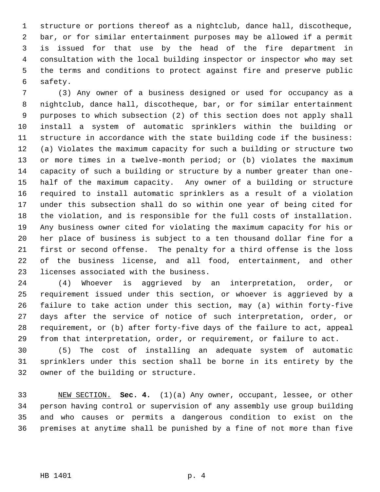structure or portions thereof as a nightclub, dance hall, discotheque, bar, or for similar entertainment purposes may be allowed if a permit is issued for that use by the head of the fire department in consultation with the local building inspector or inspector who may set the terms and conditions to protect against fire and preserve public safety.

 (3) Any owner of a business designed or used for occupancy as a nightclub, dance hall, discotheque, bar, or for similar entertainment purposes to which subsection (2) of this section does not apply shall install a system of automatic sprinklers within the building or structure in accordance with the state building code if the business: (a) Violates the maximum capacity for such a building or structure two or more times in a twelve-month period; or (b) violates the maximum capacity of such a building or structure by a number greater than one- half of the maximum capacity. Any owner of a building or structure required to install automatic sprinklers as a result of a violation under this subsection shall do so within one year of being cited for the violation, and is responsible for the full costs of installation. Any business owner cited for violating the maximum capacity for his or her place of business is subject to a ten thousand dollar fine for a first or second offense. The penalty for a third offense is the loss of the business license, and all food, entertainment, and other licenses associated with the business.

 (4) Whoever is aggrieved by an interpretation, order, or requirement issued under this section, or whoever is aggrieved by a failure to take action under this section, may (a) within forty-five days after the service of notice of such interpretation, order, or requirement, or (b) after forty-five days of the failure to act, appeal from that interpretation, order, or requirement, or failure to act.

 (5) The cost of installing an adequate system of automatic sprinklers under this section shall be borne in its entirety by the owner of the building or structure.

 NEW SECTION. **Sec. 4.** (1)(a) Any owner, occupant, lessee, or other person having control or supervision of any assembly use group building and who causes or permits a dangerous condition to exist on the premises at anytime shall be punished by a fine of not more than five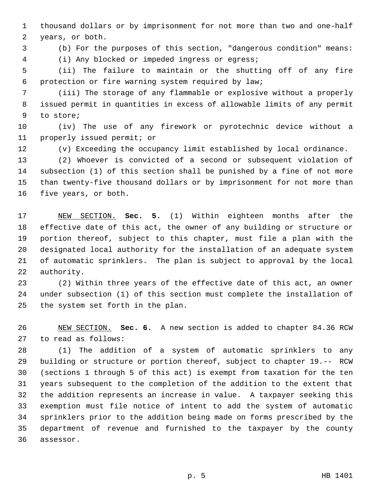thousand dollars or by imprisonment for not more than two and one-half years, or both.

(b) For the purposes of this section, "dangerous condition" means:

(i) Any blocked or impeded ingress or egress;

 (ii) The failure to maintain or the shutting off of any fire protection or fire warning system required by law;

 (iii) The storage of any flammable or explosive without a properly issued permit in quantities in excess of allowable limits of any permit to store;

 (iv) The use of any firework or pyrotechnic device without a properly issued permit; or

(v) Exceeding the occupancy limit established by local ordinance.

 (2) Whoever is convicted of a second or subsequent violation of subsection (1) of this section shall be punished by a fine of not more than twenty-five thousand dollars or by imprisonment for not more than five years, or both.

 NEW SECTION. **Sec. 5.** (1) Within eighteen months after the effective date of this act, the owner of any building or structure or portion thereof, subject to this chapter, must file a plan with the designated local authority for the installation of an adequate system of automatic sprinklers. The plan is subject to approval by the local authority.

 (2) Within three years of the effective date of this act, an owner under subsection (1) of this section must complete the installation of the system set forth in the plan.

 NEW SECTION. **Sec. 6.** A new section is added to chapter 84.36 RCW to read as follows:

 (1) The addition of a system of automatic sprinklers to any building or structure or portion thereof, subject to chapter 19.-- RCW (sections 1 through 5 of this act) is exempt from taxation for the ten years subsequent to the completion of the addition to the extent that the addition represents an increase in value. A taxpayer seeking this exemption must file notice of intent to add the system of automatic sprinklers prior to the addition being made on forms prescribed by the department of revenue and furnished to the taxpayer by the county assessor.